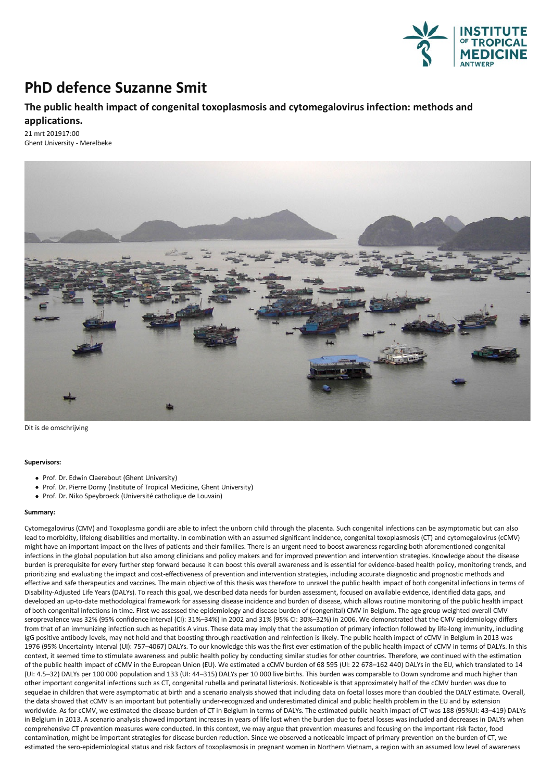

## **PhD defence Suzanne Smit**

## **The public health impact of congenital toxoplasmosis and cytomegalovirus infection: methods and applications.**

21 mrt 201917:00 Ghent University - Merelbeke



Dit is de omschrijving

## **Supervisors:**

- Prof. Dr. Edwin Claerebout (Ghent University)
- Prof. Dr. Pierre Dorny (Institute of Tropical Medicine, Ghent University)
- Prof. Dr. Niko Speybroeck (Université catholique de Louvain)

## **Summary:**

Cytomegalovirus (CMV) and Toxoplasma gondii are able to infect the unborn child through the placenta. Such congenital infections can be asymptomatic but can also lead to morbidity, lifelong disabilities and mortality. In combination with an assumed significant incidence, congenital toxoplasmosis (CT) and cytomegalovirus (cCMV)<br>might have an important impact on the lives of patients infections in the global population but also among clinicians and policy makers and for improved prevention and intervention strategies. Knowledge about the disease burden is prerequisite for every further step forward because it can boost this overall awareness and is essential for evidence-based health policy, monitoring trends, and prioritizing and evaluating the impact and cost-effectiveness of prevention and intervention strategies, including accurate diagnostic and prognostic methods and effective and safe therapeutics and vaccines. The main objective of this thesis was therefore to unravel the public health impact of both congenital infections in terms of Disability-Adjusted Life Years (DALYs). To reach this goal, we described data needs for burden assessment, focused on available evidence, identified data gaps, and developed an up-to-date methodological framework forassessing disease incidence and burden of disease, which allows routine monitoring of the public health impact of both congenital infections in time.First we assessed the epidemiology and disease burden of (congenital) CMV in Belgium.The age group weighted overall CMV seroprevalence was 32% (95% confidence interval (CI): 31%–34%) in 2002 and 31% (95% CI: 30%–32%) in 2006. We demonstrated that the CMV epidemiology differs from that of an immunizing infection such as hepatitis A virus. These data may imply that the assumption of primary infection followed by life-long immunity, including IgG positive antibody levels, may not hold and that boosting through reactivation and reinfection is likely. The public health impact of cCMV in Belgium in 2013 was 1976 (95% Uncertainty Interval (UI): 757-4067) DALYs. To our knowledge this was the first ever estimation of the public health impact of cCMV in terms of DALYs. In this context, it seemed time to stimulate awareness and public health policy by conducting similar studies for other countries. Therefore, we continued with the estimation of the public health impact of cCMV in the European Union (EU). We estimated acCMV burden of 68 595 (UI: 22 678–162 440) DALYs in the EU, which translated to 14 (UI: 4.5–32) DALYs per 100 000 population and 133 (UI: 44–315) DALYs per 10 000 live births.This burden was comparable to Down syndrome and much higher than other important congenital infections such as CT, congenital rubellaand perinatal listeriosis. Noticeable is thatapproximately half of the cCMV burden was due to sequelae in children that were asymptomatic at birth and a scenario analysis showed that including data on foetal losses more than doubled the DALY estimate. Overall, the data showed that cCMV is an important but potentially under-recognized and underestimated clinical and public health problem in the EU and by extension<br>worldwide. As for cCMV, we estimated the disease burden of CT in B in Belgium in 2013. A scenario analysis showed important increases in years of life lost when the burden due to foetal losses was included and decreases in DALYs when comprehensive CT prevention measures were conducted. In this context, we may argue that prevention measures and focusing on the important risk factor, food contamination, might be important strategies for disease burden reduction.Since we observed a noticeable impact of primary prevention on the burden of CT, we estimated the sero-epidemiological status and risk factors of toxoplasmosis in pregnant women in Northern Vietnam, a region with an assumed low level of awareness